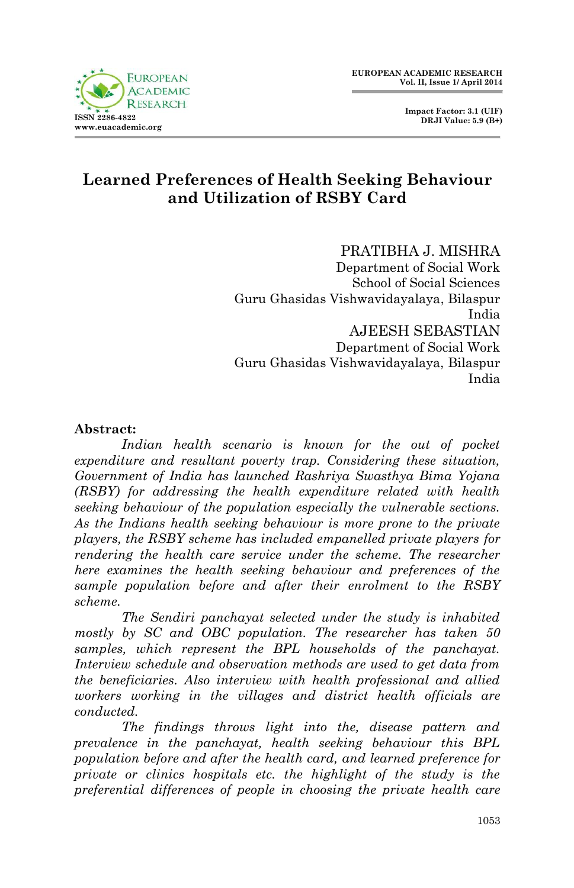



## **Learned Preferences of Health Seeking Behaviour and Utilization of RSBY Card**

#### PRATIBHA J. MISHRA

Department of Social Work School of Social Sciences Guru Ghasidas Vishwavidayalaya, Bilaspur India AJEESH SEBASTIAN Department of Social Work Guru Ghasidas Vishwavidayalaya, Bilaspur India

#### **Abstract:**

Indian health scenario is known for the out of pocket *expenditure and resultant poverty trap. Considering these situation, Government of India has launched Rashriya Swasthya Bima Yojana (RSBY) for addressing the health expenditure related with health seeking behaviour of the population especially the vulnerable sections. As the Indians health seeking behaviour is more prone to the private players, the RSBY scheme has included empanelled private players for rendering the health care service under the scheme. The researcher here examines the health seeking behaviour and preferences of the sample population before and after their enrolment to the RSBY scheme.* 

*The Sendiri panchayat selected under the study is inhabited mostly by SC and OBC population. The researcher has taken 50 samples, which represent the BPL households of the panchayat. Interview schedule and observation methods are used to get data from the beneficiaries. Also interview with health professional and allied workers working in the villages and district health officials are conducted.* 

*The findings throws light into the, disease pattern and prevalence in the panchayat, health seeking behaviour this BPL population before and after the health card, and learned preference for private or clinics hospitals etc. the highlight of the study is the preferential differences of people in choosing the private health care*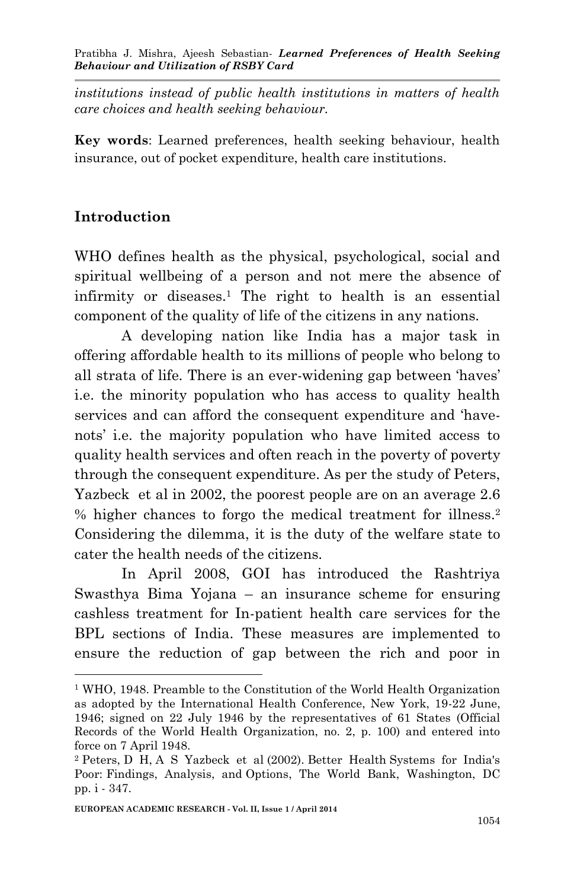*institutions instead of public health institutions in matters of health care choices and health seeking behaviour.* 

**Key words**: Learned preferences, health seeking behaviour, health insurance, out of pocket expenditure, health care institutions.

#### **Introduction**

1

WHO defines health as the physical, psychological, social and spiritual wellbeing of a person and not mere the absence of infirmity or diseases.<sup>1</sup> The right to health is an essential component of the quality of life of the citizens in any nations.

A developing nation like India has a major task in offering affordable health to its millions of people who belong to all strata of life. There is an ever-widening gap between 'haves' i.e. the minority population who has access to quality health services and can afford the consequent expenditure and 'havenots' i.e. the majority population who have limited access to quality health services and often reach in the poverty of poverty through the consequent expenditure. As per the study of Peters, Yazbeck et al in 2002, the poorest people are on an average 2.6 % higher chances to forgo the medical treatment for illness.<sup>2</sup> Considering the dilemma, it is the duty of the welfare state to cater the health needs of the citizens.

In April 2008, GOI has introduced the Rashtriya Swasthya Bima Yojana – an insurance scheme for ensuring cashless treatment for In-patient health care services for the BPL sections of India. These measures are implemented to ensure the reduction of gap between the rich and poor in

<sup>1</sup> WHO, 1948. Preamble to the Constitution of the World Health Organization as adopted by the International Health Conference, New York, 19-22 June, 1946; signed on 22 July 1946 by the representatives of 61 States (Official Records of the World Health Organization, no. 2, p. 100) and entered into force on 7 April 1948.

<sup>2</sup> Peters, D H, A S Yazbeck et al (2002). Better Health Systems for India's Poor: Findings, Analysis, and Options, The World Bank, Washington, DC pp. i - 347.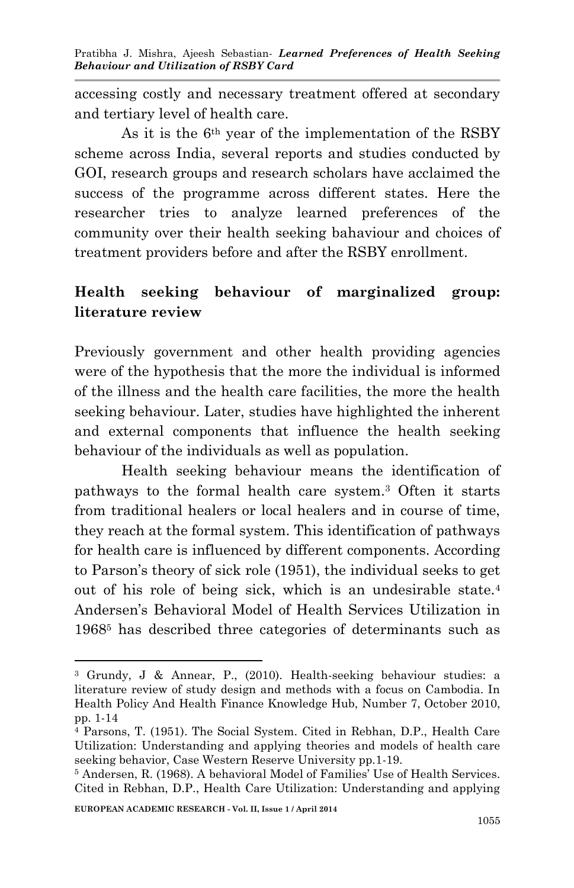accessing costly and necessary treatment offered at secondary and tertiary level of health care.

As it is the 6th year of the implementation of the RSBY scheme across India, several reports and studies conducted by GOI, research groups and research scholars have acclaimed the success of the programme across different states. Here the researcher tries to analyze learned preferences of the community over their health seeking bahaviour and choices of treatment providers before and after the RSBY enrollment.

## **Health seeking behaviour of marginalized group: literature review**

Previously government and other health providing agencies were of the hypothesis that the more the individual is informed of the illness and the health care facilities, the more the health seeking behaviour. Later, studies have highlighted the inherent and external components that influence the health seeking behaviour of the individuals as well as population.

Health seeking behaviour means the identification of pathways to the formal health care system.<sup>3</sup> Often it starts from traditional healers or local healers and in course of time, they reach at the formal system. This identification of pathways for health care is influenced by different components. According to Parson's theory of sick role (1951), the individual seeks to get out of his role of being sick, which is an undesirable state.<sup>4</sup> Andersen's Behavioral Model of Health Services Utilization in 1968<sup>5</sup> has described three categories of determinants such as

1

<sup>3</sup> Grundy, J & Annear, P., (2010). Health-seeking behaviour studies: a literature review of study design and methods with a focus on Cambodia. In Health Policy And Health Finance Knowledge Hub, Number 7, October 2010, pp. 1-14

<sup>4</sup> Parsons, T. (1951). The Social System. Cited in Rebhan, D.P., Health Care Utilization: Understanding and applying theories and models of health care seeking behavior, Case Western Reserve University pp.1-19.

<sup>5</sup> Andersen, R. (1968). A behavioral Model of Families' Use of Health Services. Cited in Rebhan, D.P., Health Care Utilization: Understanding and applying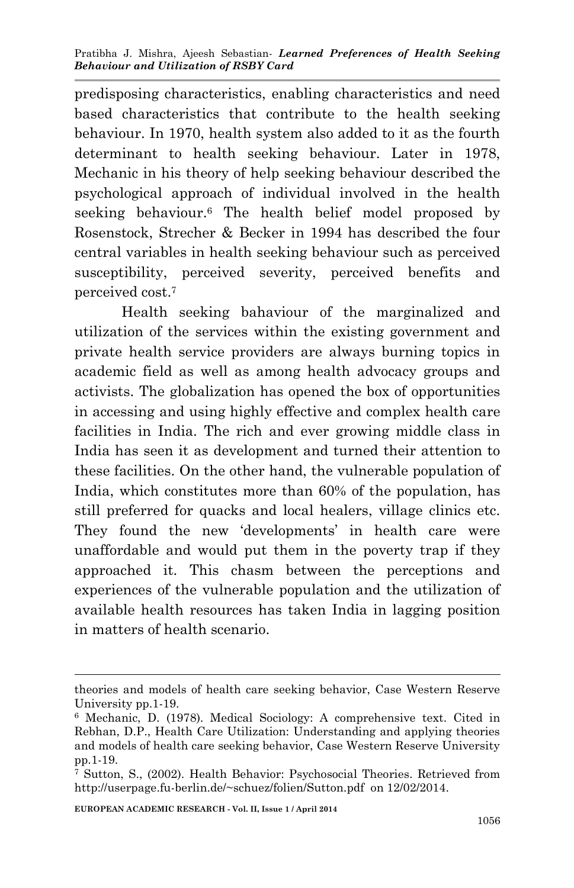predisposing characteristics, enabling characteristics and need based characteristics that contribute to the health seeking behaviour. In 1970, health system also added to it as the fourth determinant to health seeking behaviour. Later in 1978, Mechanic in his theory of help seeking behaviour described the psychological approach of individual involved in the health seeking behaviour.<sup>6</sup> The health belief model proposed by Rosenstock, Strecher & Becker in 1994 has described the four central variables in health seeking behaviour such as perceived susceptibility, perceived severity, perceived benefits and perceived cost.<sup>7</sup>

Health seeking bahaviour of the marginalized and utilization of the services within the existing government and private health service providers are always burning topics in academic field as well as among health advocacy groups and activists. The globalization has opened the box of opportunities in accessing and using highly effective and complex health care facilities in India. The rich and ever growing middle class in India has seen it as development and turned their attention to these facilities. On the other hand, the vulnerable population of India, which constitutes more than 60% of the population, has still preferred for quacks and local healers, village clinics etc. They found the new 'developments' in health care were unaffordable and would put them in the poverty trap if they approached it. This chasm between the perceptions and experiences of the vulnerable population and the utilization of available health resources has taken India in lagging position in matters of health scenario.

1

theories and models of health care seeking behavior, Case Western Reserve University pp.1-19.

<sup>6</sup> Mechanic, D. (1978). Medical Sociology: A comprehensive text. Cited in Rebhan, D.P., Health Care Utilization: Understanding and applying theories and models of health care seeking behavior, Case Western Reserve University pp.1-19.

<sup>7</sup> Sutton, S., (2002). Health Behavior: Psychosocial Theories. Retrieved from http://userpage.fu-berlin.de/~schuez/folien/Sutton.pdf on 12/02/2014.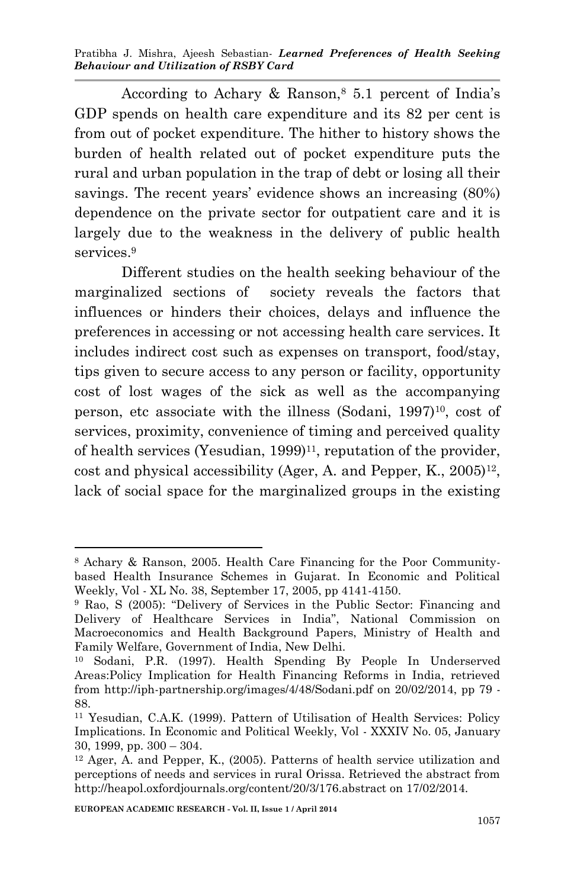According to Achary & Ranson, $8\,5.1$  percent of India's GDP spends on health care expenditure and its 82 per cent is from out of pocket expenditure. The hither to history shows the burden of health related out of pocket expenditure puts the rural and urban population in the trap of debt or losing all their savings. The recent years' evidence shows an increasing (80%) dependence on the private sector for outpatient care and it is largely due to the weakness in the delivery of public health services.<sup>9</sup>

Different studies on the health seeking behaviour of the marginalized sections of society reveals the factors that influences or hinders their choices, delays and influence the preferences in accessing or not accessing health care services. It includes indirect cost such as expenses on transport, food/stay, tips given to secure access to any person or facility, opportunity cost of lost wages of the sick as well as the accompanying person, etc associate with the illness (Sodani,  $1997$ )<sup>10</sup>, cost of services, proximity, convenience of timing and perceived quality of health services (Yesudian,  $1999$ )<sup>11</sup>, reputation of the provider,  $\cot$  and physical accessibility (Ager, A. and Pepper, K., 2005)<sup>12</sup>, lack of social space for the marginalized groups in the existing

-

<sup>8</sup> Achary & Ranson, 2005. Health Care Financing for the Poor Communitybased Health Insurance Schemes in Gujarat. In Economic and Political Weekly, Vol - XL No. 38, September 17, 2005, pp 4141-4150.

<sup>9</sup> Rao, S (2005): "Delivery of Services in the Public Sector: Financing and Delivery of Healthcare Services in India", National Commission on Macroeconomics and Health Background Papers, Ministry of Health and Family Welfare, Government of India, New Delhi.

<sup>10</sup> Sodani, P.R. (1997). Health Spending By People In Underserved Areas:Policy Implication for Health Financing Reforms in India, retrieved from http://iph-partnership.org/images/4/48/Sodani.pdf on 20/02/2014, pp 79 - 88.

<sup>11</sup> Yesudian, C.A.K. (1999). Pattern of Utilisation of Health Services: Policy Implications. In Economic and Political Weekly, Vol - XXXIV No. 05, January 30, 1999, pp. 300 – 304.

<sup>12</sup> Ager, A. and Pepper, K., (2005). Patterns of health service utilization and perceptions of needs and services in rural Orissa. Retrieved the abstract from http://heapol.oxfordjournals.org/content/20/3/176.abstract on 17/02/2014.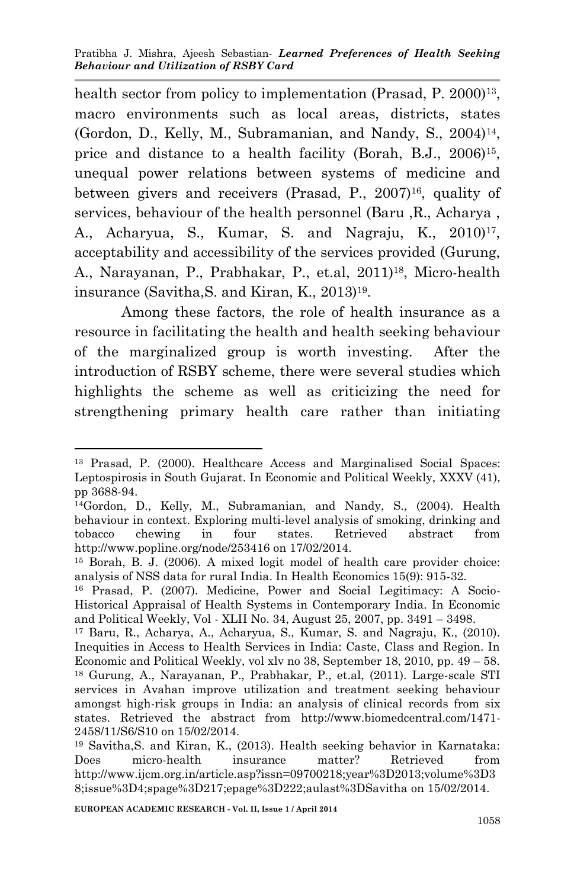health sector from policy to implementation (Prasad, P. 2000)<sup>13</sup>, macro environments such as local areas, districts, states (Gordon, D., Kelly, M., Subramanian, and Nandy, S., 2004)<sup>14</sup>, price and distance to a health facility (Borah, B.J., 2006)<sup>15</sup>, unequal power relations between systems of medicine and between givers and receivers (Prasad, P., 2007)<sup>16</sup>, quality of services, behaviour of the health personnel (Baru ,R., Acharya , A., Acharyua, S., Kumar, S. and Nagraju, K., 2010)<sup>17</sup>, acceptability and accessibility of the services provided (Gurung, A., Narayanan, P., Prabhakar, P., et.al, 2011)18, Micro-health insurance (Savitha,S. and Kiran, K., 2013)<sup>19</sup> .

Among these factors, the role of health insurance as a resource in facilitating the health and health seeking behaviour of the marginalized group is worth investing. After the introduction of RSBY scheme, there were several studies which highlights the scheme as well as criticizing the need for strengthening primary health care rather than initiating

<sup>-</sup><sup>13</sup> Prasad, P. (2000). Healthcare Access and Marginalised Social Spaces: Leptospirosis in South Gujarat. In Economic and Political Weekly, XXXV (41), pp 3688-94.

<sup>14</sup>Gordon, D., Kelly, M., Subramanian, and Nandy, S., (2004). Health behaviour in context. Exploring multi-level analysis of smoking, drinking and tobacco chewing in four states. Retrieved abstract from http://www.popline.org/node/253416 on 17/02/2014.

<sup>15</sup> Borah, B. J. (2006). A mixed logit model of health care provider choice: analysis of NSS data for rural India. In Health Economics 15(9): 915-32.

<sup>16</sup> Prasad, P. (2007). Medicine, Power and Social Legitimacy: A Socio-Historical Appraisal of Health Systems in Contemporary India. In Economic and Political Weekly, Vol - XLII No. 34, August 25, 2007, pp. 3491 – 3498.

<sup>17</sup> Baru, R., Acharya, A., Acharyua, S., Kumar, S. and Nagraju, K., (2010). Inequities in Access to Health Services in India: Caste, Class and Region. In Economic and Political Weekly, vol xlv no 38, September 18, 2010, pp. 49 – 58. <sup>18</sup> Gurung, A., Narayanan, P., Prabhakar, P., et.al, (2011). Large-scale STI services in Avahan improve utilization and treatment seeking behaviour amongst high-risk groups in India: an analysis of clinical records from six states. Retrieved the abstract from http://www.biomedcentral.com/1471- 2458/11/S6/S10 on 15/02/2014.

<sup>19</sup> Savitha,S. and Kiran, K., (2013). Health seeking behavior in Karnataka: Does micro-health insurance matter? Retrieved from http://www.ijcm.org.in/article.asp?issn=09700218;year%3D2013;volume%3D3 8;issue%3D4;spage%3D217;epage%3D222;aulast%3DSavitha on 15/02/2014.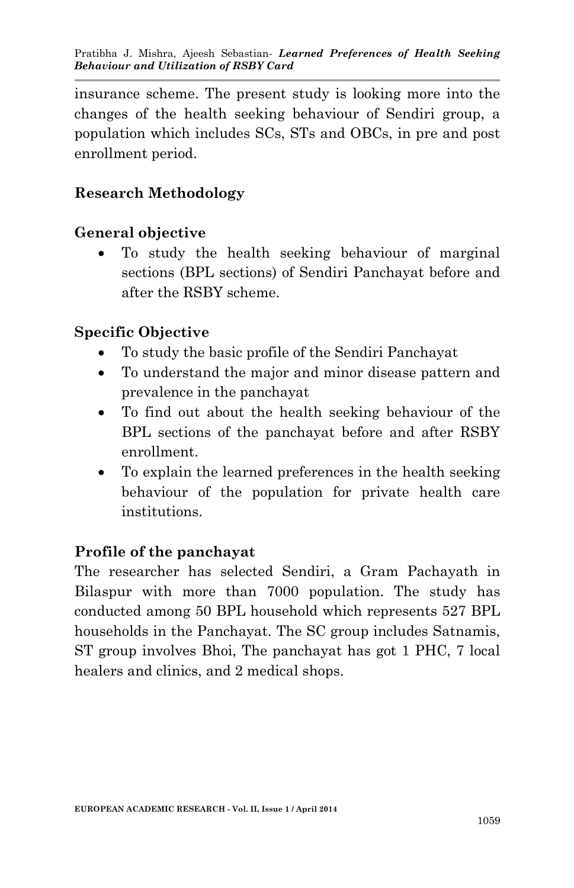insurance scheme. The present study is looking more into the changes of the health seeking behaviour of Sendiri group, a population which includes SCs, STs and OBCs, in pre and post enrollment period.

## **Research Methodology**

## **General objective**

 To study the health seeking behaviour of marginal sections (BPL sections) of Sendiri Panchayat before and after the RSBY scheme.

## **Specific Objective**

- To study the basic profile of the Sendiri Panchayat
- To understand the major and minor disease pattern and prevalence in the panchayat
- To find out about the health seeking behaviour of the BPL sections of the panchayat before and after RSBY enrollment.
- To explain the learned preferences in the health seeking behaviour of the population for private health care institutions.

### **Profile of the panchayat**

The researcher has selected Sendiri, a Gram Pachayath in Bilaspur with more than 7000 population. The study has conducted among 50 BPL household which represents 527 BPL households in the Panchayat. The SC group includes Satnamis, ST group involves Bhoi, The panchayat has got 1 PHC, 7 local healers and clinics, and 2 medical shops.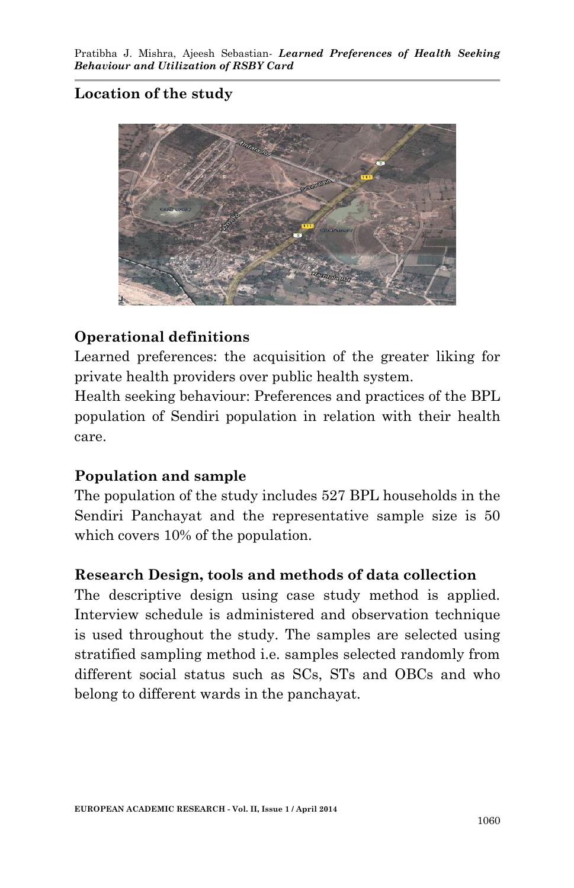# **Location of the study**



### **Operational definitions**

Learned preferences: the acquisition of the greater liking for private health providers over public health system.

Health seeking behaviour: Preferences and practices of the BPL population of Sendiri population in relation with their health care.

### **Population and sample**

The population of the study includes 527 BPL households in the Sendiri Panchayat and the representative sample size is 50 which covers 10% of the population.

### **Research Design, tools and methods of data collection**

The descriptive design using case study method is applied. Interview schedule is administered and observation technique is used throughout the study. The samples are selected using stratified sampling method i.e. samples selected randomly from different social status such as SCs, STs and OBCs and who belong to different wards in the panchayat.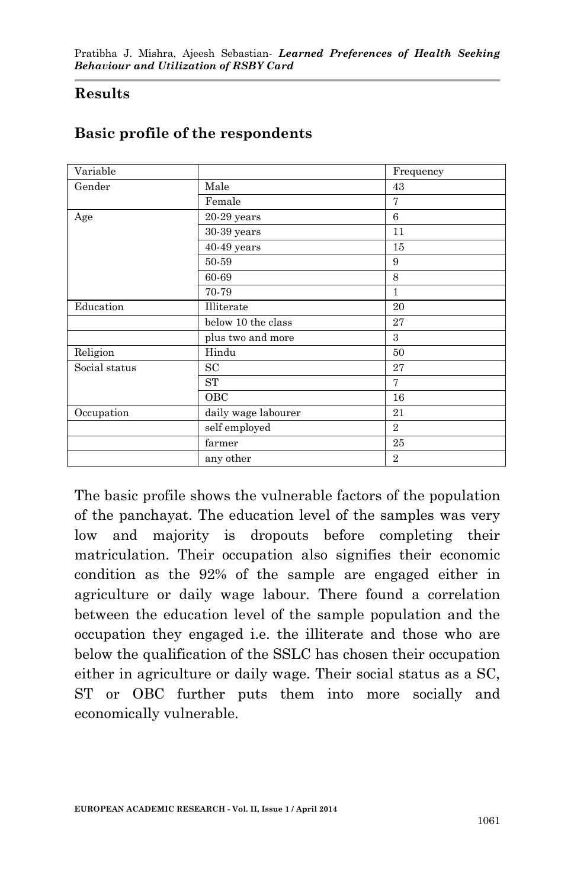#### **Results**

| Variable      |                     | Frequency      |
|---------------|---------------------|----------------|
| Gender        | Male                | 43             |
|               | Female              | 7              |
| Age           | $20-29$ years       | 6              |
|               | 30-39 years         | 11             |
|               | $40-49$ years       | 15             |
|               | 50-59               | 9              |
|               | 60-69               | 8              |
|               | 70-79               | 1              |
| Education     | Illiterate          | 20             |
|               | below 10 the class  | 27             |
|               | plus two and more   | 3              |
| Religion      | Hindu               | 50             |
| Social status | SC                  | 27             |
|               | <b>ST</b>           | 7              |
|               | OBC                 | 16             |
| Occupation    | daily wage labourer | 21             |
|               | self employed       | $\overline{2}$ |
|               | farmer              | 25             |
|               | any other           | $\overline{2}$ |

#### **Basic profile of the respondents**

The basic profile shows the vulnerable factors of the population of the panchayat. The education level of the samples was very low and majority is dropouts before completing their matriculation. Their occupation also signifies their economic condition as the 92% of the sample are engaged either in agriculture or daily wage labour. There found a correlation between the education level of the sample population and the occupation they engaged i.e. the illiterate and those who are below the qualification of the SSLC has chosen their occupation either in agriculture or daily wage. Their social status as a SC, ST or OBC further puts them into more socially and economically vulnerable.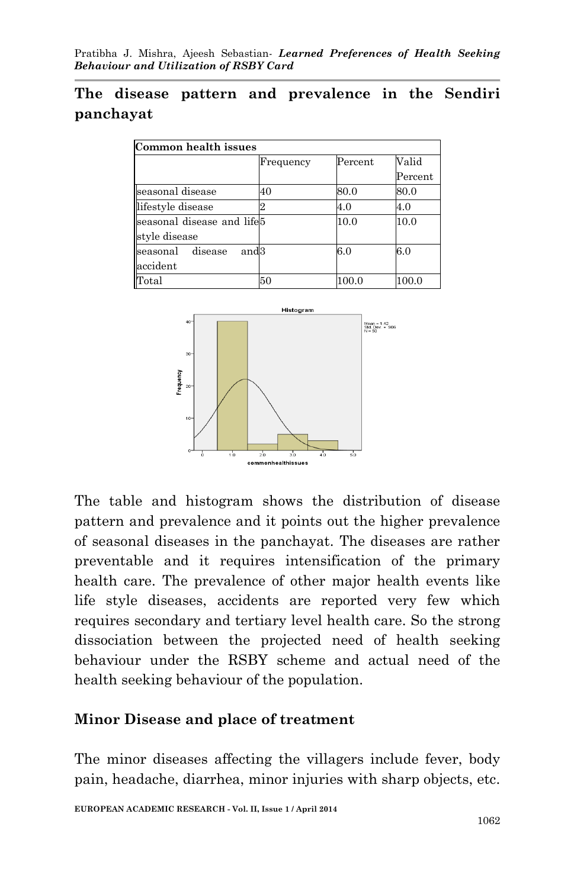## **The disease pattern and prevalence in the Sendiri panchayat**

| Common health issues                             |           |         |               |
|--------------------------------------------------|-----------|---------|---------------|
|                                                  | Frequency | Percent | Valid         |
|                                                  |           |         | $\rm Percent$ |
| seasonal disease                                 | 40        | 80.0    | 80.0          |
| lifestyle disease                                |           | 4.0     | 4.0           |
| seasonal disease and life5<br>style disease      |           | 10.0    | 10.0          |
| seasonal disease<br>and <sub>3</sub><br>accident |           | 6.0     | 6.0           |
| Total                                            | 50        | 100.0   | 100.0         |



The table and histogram shows the distribution of disease pattern and prevalence and it points out the higher prevalence of seasonal diseases in the panchayat. The diseases are rather preventable and it requires intensification of the primary health care. The prevalence of other major health events like life style diseases, accidents are reported very few which requires secondary and tertiary level health care. So the strong dissociation between the projected need of health seeking behaviour under the RSBY scheme and actual need of the health seeking behaviour of the population.

### **Minor Disease and place of treatment**

The minor diseases affecting the villagers include fever, body pain, headache, diarrhea, minor injuries with sharp objects, etc.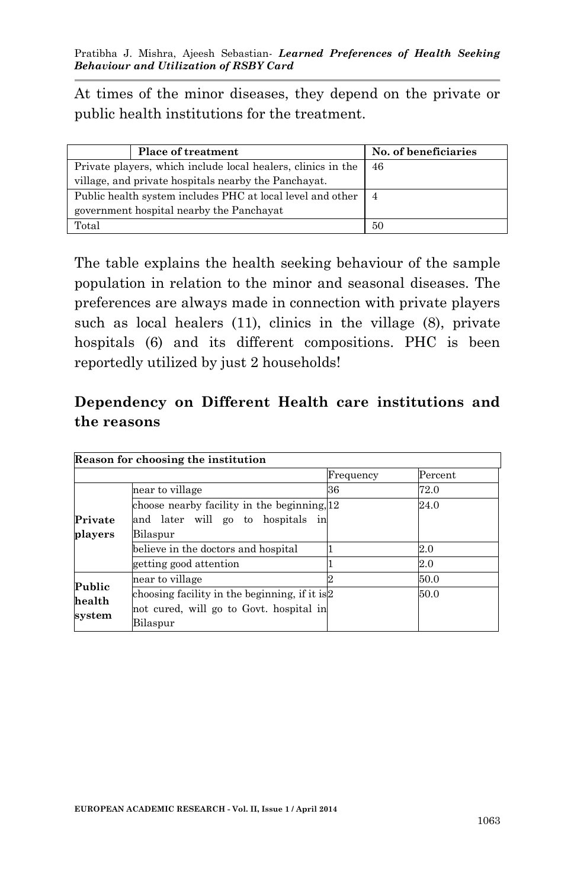At times of the minor diseases, they depend on the private or public health institutions for the treatment.

|                                                                | <b>Place of treatment</b>                            | No. of beneficiaries |
|----------------------------------------------------------------|------------------------------------------------------|----------------------|
| Private players, which include local healers, clinics in the   |                                                      | 46                   |
|                                                                | village, and private hospitals nearby the Panchayat. |                      |
| Public health system includes PHC at local level and other   4 |                                                      |                      |
|                                                                | government hospital nearby the Panchayat             |                      |
| Total                                                          |                                                      | 50                   |

The table explains the health seeking behaviour of the sample population in relation to the minor and seasonal diseases. The preferences are always made in connection with private players such as local healers (11), clinics in the village (8), private hospitals (6) and its different compositions. PHC is been reportedly utilized by just 2 households!

## **Dependency on Different Health care institutions and the reasons**

| Reason for choosing the institution |                                                |           |         |
|-------------------------------------|------------------------------------------------|-----------|---------|
|                                     |                                                | Frequency | Percent |
|                                     | near to village                                | 36        | 72.0    |
|                                     | choose nearby facility in the beginning, 12    |           | 24.0    |
| Private                             | and later will go to hospitals<br>in           |           |         |
| players                             | Bilaspur                                       |           |         |
|                                     | believe in the doctors and hospital            |           | $2.0\,$ |
|                                     | getting good attention                         |           | $2.0\,$ |
| Public<br>health<br>system          | near to village                                |           | 50.0    |
|                                     | choosing facility in the beginning, if it is 2 |           | 50.0    |
|                                     | not cured, will go to Govt. hospital in        |           |         |
|                                     | Bilaspur                                       |           |         |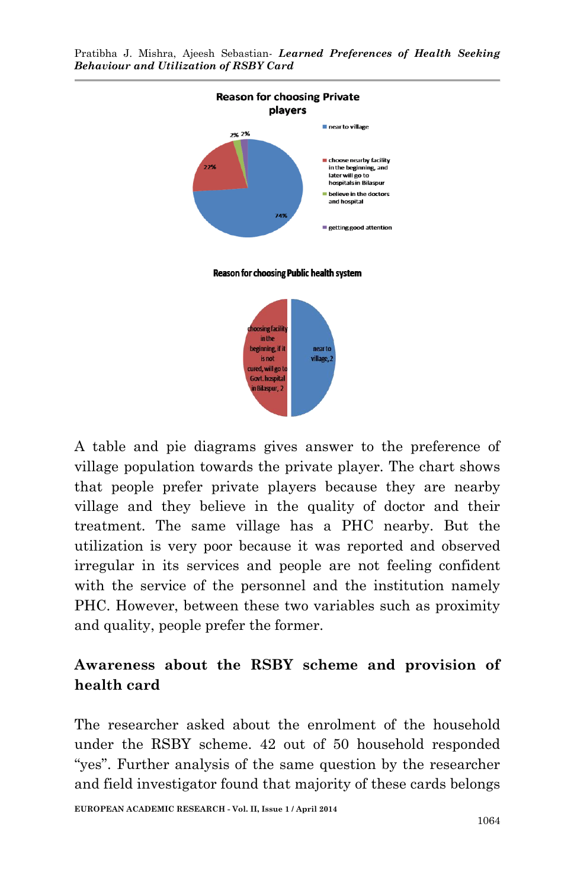

A table and pie diagrams gives answer to the preference of village population towards the private player. The chart shows that people prefer private players because they are nearby village and they believe in the quality of doctor and their treatment. The same village has a PHC nearby. But the utilization is very poor because it was reported and observed irregular in its services and people are not feeling confident with the service of the personnel and the institution namely PHC. However, between these two variables such as proximity and quality, people prefer the former.

# **Awareness about the RSBY scheme and provision of health card**

The researcher asked about the enrolment of the household under the RSBY scheme. 42 out of 50 household responded "yes". Further analysis of the same question by the researcher and field investigator found that majority of these cards belongs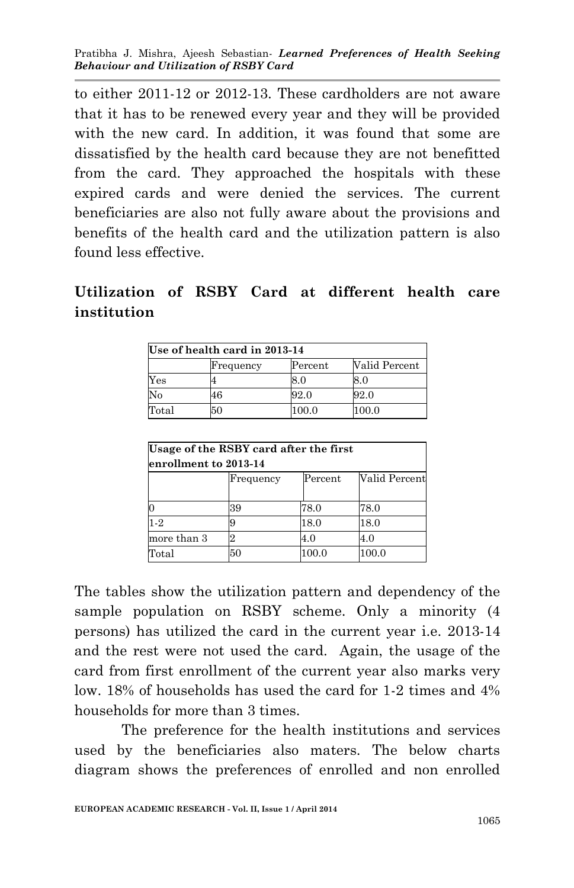to either 2011-12 or 2012-13. These cardholders are not aware that it has to be renewed every year and they will be provided with the new card. In addition, it was found that some are dissatisfied by the health card because they are not benefitted from the card. They approached the hospitals with these expired cards and were denied the services. The current beneficiaries are also not fully aware about the provisions and benefits of the health card and the utilization pattern is also found less effective.

### **Utilization of RSBY Card at different health care institution**

| Use of health card in 2013-14 |           |         |               |
|-------------------------------|-----------|---------|---------------|
|                               | Frequency | Percent | Valid Percent |
| Yes                           |           | 8.0     | 8.0           |
| No                            | 46        | 92.0    | 92.0          |
| Total                         | 50        | 100.0   | 100.0         |

| Usage of the RSBY card after the first<br>enrollment to 2013-14 |           |               |               |
|-----------------------------------------------------------------|-----------|---------------|---------------|
|                                                                 | Frequency | $\rm Percent$ | Valid Percent |
|                                                                 | 39        | 78.0          | 78.0          |
| $1-2$                                                           |           | 18.0          | 18.0          |
| more than 3                                                     |           | 4.0           | 4.0           |
| Total                                                           | 50        | 100.0         | 100.0         |

The tables show the utilization pattern and dependency of the sample population on RSBY scheme. Only a minority (4 persons) has utilized the card in the current year i.e. 2013-14 and the rest were not used the card. Again, the usage of the card from first enrollment of the current year also marks very low. 18% of households has used the card for 1-2 times and 4% households for more than 3 times.

The preference for the health institutions and services used by the beneficiaries also maters. The below charts diagram shows the preferences of enrolled and non enrolled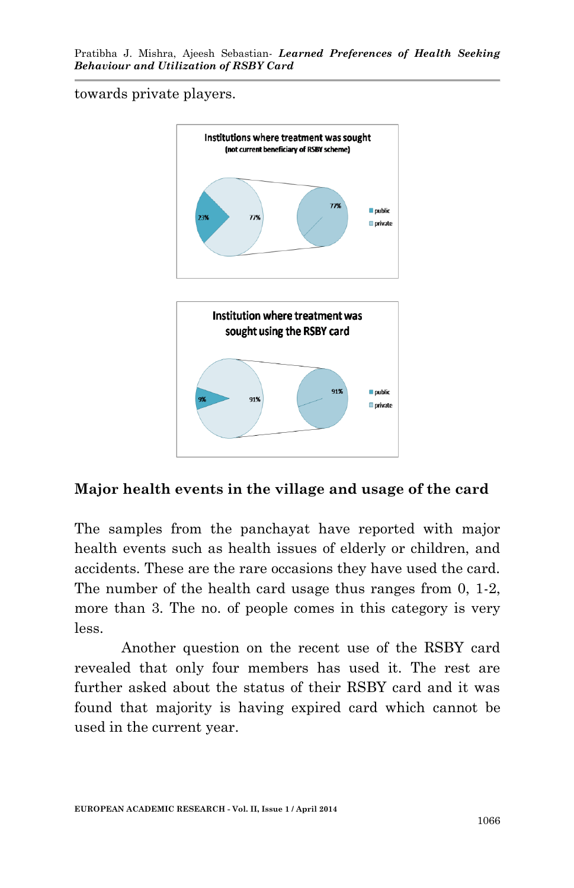towards private players.



### **Major health events in the village and usage of the card**

The samples from the panchayat have reported with major health events such as health issues of elderly or children, and accidents. These are the rare occasions they have used the card. The number of the health card usage thus ranges from 0, 1-2, more than 3. The no. of people comes in this category is very less.

Another question on the recent use of the RSBY card revealed that only four members has used it. The rest are further asked about the status of their RSBY card and it was found that majority is having expired card which cannot be used in the current year.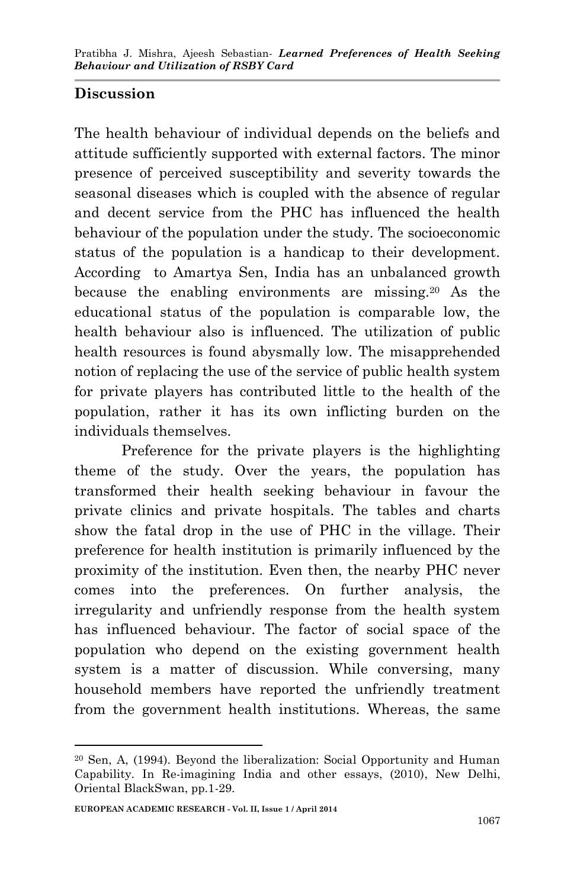## **Discussion**

The health behaviour of individual depends on the beliefs and attitude sufficiently supported with external factors. The minor presence of perceived susceptibility and severity towards the seasonal diseases which is coupled with the absence of regular and decent service from the PHC has influenced the health behaviour of the population under the study. The socioeconomic status of the population is a handicap to their development. According to Amartya Sen, India has an unbalanced growth because the enabling environments are missing.<sup>20</sup> As the educational status of the population is comparable low, the health behaviour also is influenced. The utilization of public health resources is found abysmally low. The misapprehended notion of replacing the use of the service of public health system for private players has contributed little to the health of the population, rather it has its own inflicting burden on the individuals themselves.

Preference for the private players is the highlighting theme of the study. Over the years, the population has transformed their health seeking behaviour in favour the private clinics and private hospitals. The tables and charts show the fatal drop in the use of PHC in the village. Their preference for health institution is primarily influenced by the proximity of the institution. Even then, the nearby PHC never comes into the preferences. On further analysis, the irregularity and unfriendly response from the health system has influenced behaviour. The factor of social space of the population who depend on the existing government health system is a matter of discussion. While conversing, many household members have reported the unfriendly treatment from the government health institutions. Whereas, the same

<sup>1</sup> <sup>20</sup> Sen, A, (1994). Beyond the liberalization: Social Opportunity and Human Capability. In Re-imagining India and other essays, (2010), New Delhi, Oriental BlackSwan, pp.1-29.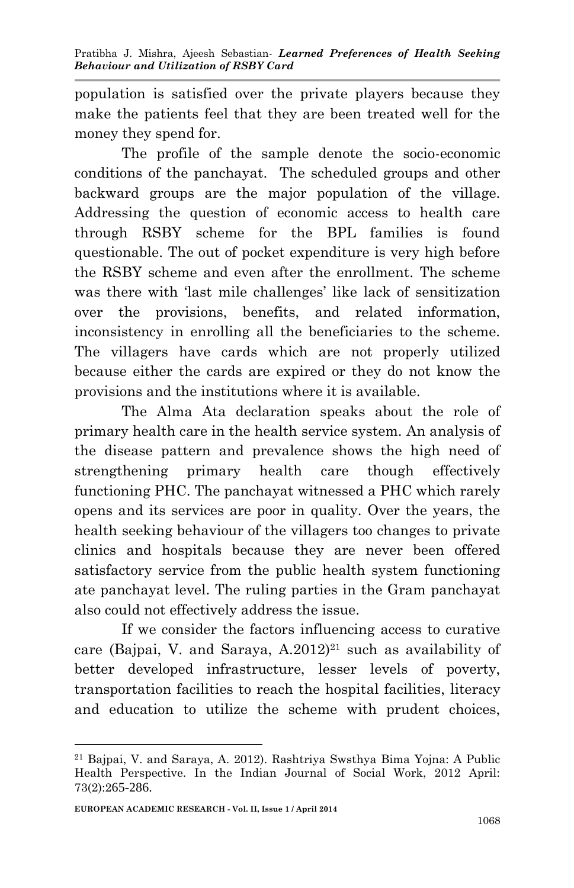population is satisfied over the private players because they make the patients feel that they are been treated well for the money they spend for.

The profile of the sample denote the socio-economic conditions of the panchayat. The scheduled groups and other backward groups are the major population of the village. Addressing the question of economic access to health care through RSBY scheme for the BPL families is found questionable. The out of pocket expenditure is very high before the RSBY scheme and even after the enrollment. The scheme was there with 'last mile challenges' like lack of sensitization over the provisions, benefits, and related information, inconsistency in enrolling all the beneficiaries to the scheme. The villagers have cards which are not properly utilized because either the cards are expired or they do not know the provisions and the institutions where it is available.

The Alma Ata declaration speaks about the role of primary health care in the health service system. An analysis of the disease pattern and prevalence shows the high need of strengthening primary health care though effectively functioning PHC. The panchayat witnessed a PHC which rarely opens and its services are poor in quality. Over the years, the health seeking behaviour of the villagers too changes to private clinics and hospitals because they are never been offered satisfactory service from the public health system functioning ate panchayat level. The ruling parties in the Gram panchayat also could not effectively address the issue.

If we consider the factors influencing access to curative care (Bajpai, V. and Saraya,  $A.2012$ )<sup>21</sup> such as availability of better developed infrastructure, lesser levels of poverty, transportation facilities to reach the hospital facilities, literacy and education to utilize the scheme with prudent choices,

<sup>1</sup> <sup>21</sup> Bajpai, V. and Saraya, A. 2012). Rashtriya Swsthya Bima Yojna: A Public Health Perspective. In the Indian Journal of Social Work, 2012 April: 73(2):265-286.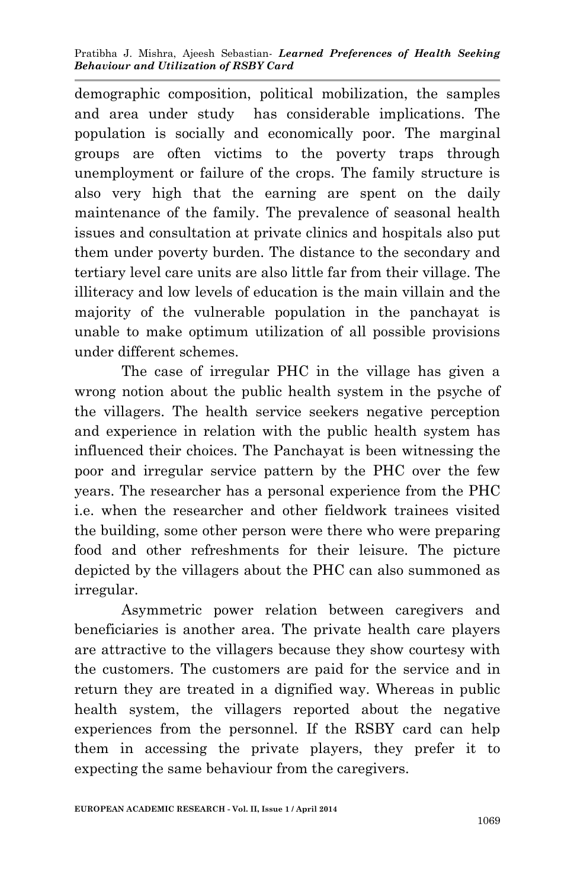demographic composition, political mobilization, the samples and area under study has considerable implications. The population is socially and economically poor. The marginal groups are often victims to the poverty traps through unemployment or failure of the crops. The family structure is also very high that the earning are spent on the daily maintenance of the family. The prevalence of seasonal health issues and consultation at private clinics and hospitals also put them under poverty burden. The distance to the secondary and tertiary level care units are also little far from their village. The illiteracy and low levels of education is the main villain and the majority of the vulnerable population in the panchayat is unable to make optimum utilization of all possible provisions under different schemes.

The case of irregular PHC in the village has given a wrong notion about the public health system in the psyche of the villagers. The health service seekers negative perception and experience in relation with the public health system has influenced their choices. The Panchayat is been witnessing the poor and irregular service pattern by the PHC over the few years. The researcher has a personal experience from the PHC i.e. when the researcher and other fieldwork trainees visited the building, some other person were there who were preparing food and other refreshments for their leisure. The picture depicted by the villagers about the PHC can also summoned as irregular.

Asymmetric power relation between caregivers and beneficiaries is another area. The private health care players are attractive to the villagers because they show courtesy with the customers. The customers are paid for the service and in return they are treated in a dignified way. Whereas in public health system, the villagers reported about the negative experiences from the personnel. If the RSBY card can help them in accessing the private players, they prefer it to expecting the same behaviour from the caregivers.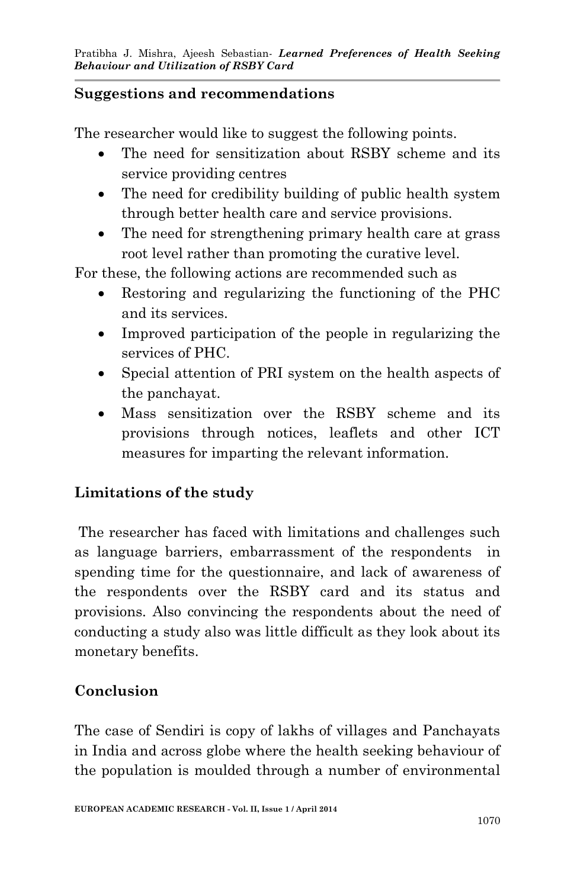### **Suggestions and recommendations**

The researcher would like to suggest the following points.

- The need for sensitization about RSBY scheme and its service providing centres
- The need for credibility building of public health system through better health care and service provisions.
- The need for strengthening primary health care at grass root level rather than promoting the curative level.

For these, the following actions are recommended such as

- Restoring and regularizing the functioning of the PHC and its services.
- Improved participation of the people in regularizing the services of PHC.
- Special attention of PRI system on the health aspects of the panchayat.
- Mass sensitization over the RSBY scheme and its provisions through notices, leaflets and other ICT measures for imparting the relevant information.

## **Limitations of the study**

The researcher has faced with limitations and challenges such as language barriers, embarrassment of the respondents in spending time for the questionnaire, and lack of awareness of the respondents over the RSBY card and its status and provisions. Also convincing the respondents about the need of conducting a study also was little difficult as they look about its monetary benefits.

## **Conclusion**

The case of Sendiri is copy of lakhs of villages and Panchayats in India and across globe where the health seeking behaviour of the population is moulded through a number of environmental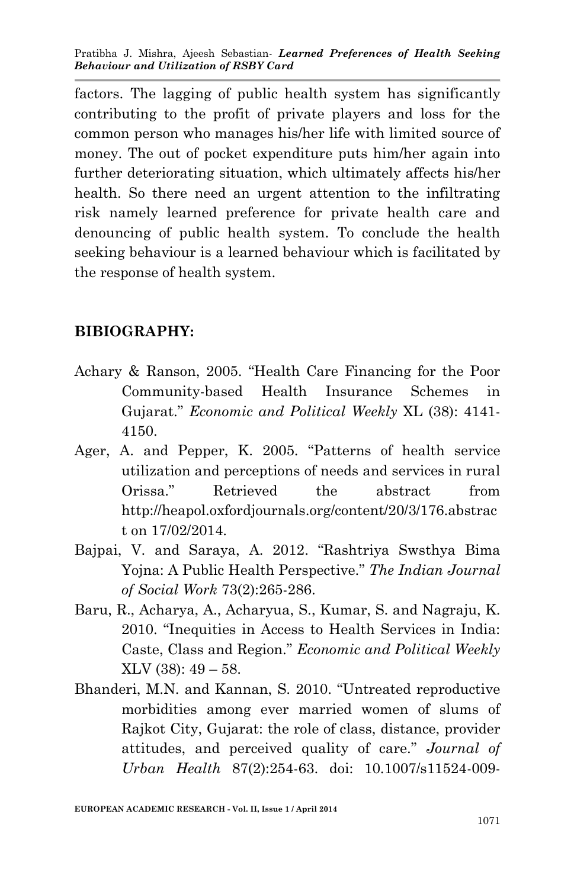factors. The lagging of public health system has significantly contributing to the profit of private players and loss for the common person who manages his/her life with limited source of money. The out of pocket expenditure puts him/her again into further deteriorating situation, which ultimately affects his/her health. So there need an urgent attention to the infiltrating risk namely learned preference for private health care and denouncing of public health system. To conclude the health seeking behaviour is a learned behaviour which is facilitated by the response of health system.

#### **BIBIOGRAPHY:**

- Achary & Ranson, 2005. "Health Care Financing for the Poor Community-based Health Insurance Schemes in Gujarat." *Economic and Political Weekly* XL (38): 4141- 4150.
- Ager, A. and Pepper, K. 2005. "Patterns of health service utilization and perceptions of needs and services in rural Orissa." Retrieved the abstract from http://heapol.oxfordjournals.org/content/20/3/176.abstrac t on 17/02/2014.
- Bajpai, V. and Saraya, A. 2012. "Rashtriya Swsthya Bima Yojna: A Public Health Perspective." *The Indian Journal of Social Work* 73(2):265-286.
- Baru, R., Acharya, A., Acharyua, S., Kumar, S. and Nagraju, K. 2010. "Inequities in Access to Health Services in India: Caste, Class and Region." *Economic and Political Weekly*  $XLV (38): 49 - 58.$
- Bhanderi, M.N. and Kannan, S. 2010. "Untreated reproductive morbidities among ever married women of slums of Rajkot City, Gujarat: the role of class, distance, provider attitudes, and perceived quality of care." *Journal of Urban Health* 87(2):254-63. doi: 10.1007/s11524-009-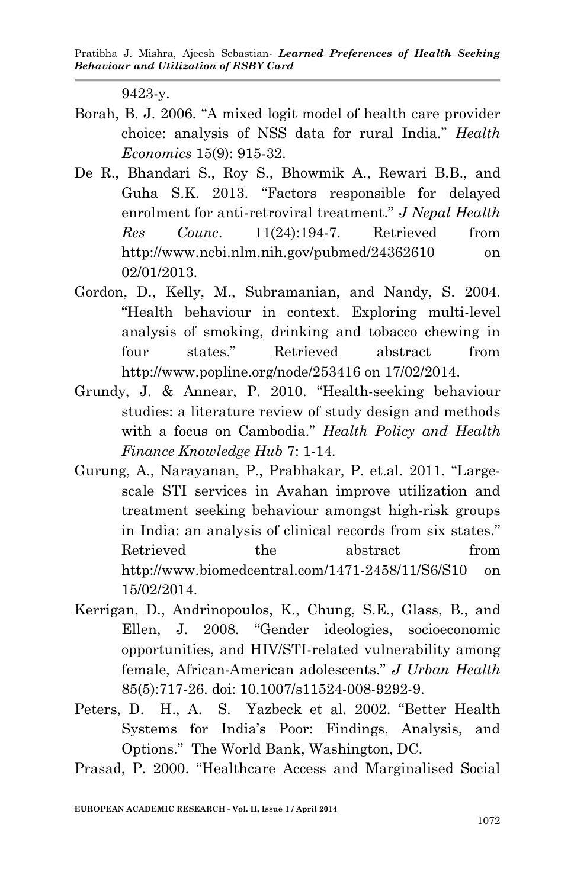9423-y.

- Borah, B. J. 2006. "A mixed logit model of health care provider choice: analysis of NSS data for rural India." *Health Economics* 15(9): 915-32.
- De R., Bhandari S., Roy S., Bhowmik A., Rewari B.B., and Guha S.K. 2013. "Factors responsible for delayed enrolment for anti-retroviral treatment." *J Nepal Health Res Counc*. 11(24):194-7. Retrieved from http://www.ncbi.nlm.nih.gov/pubmed/24362610 on 02/01/2013.
- Gordon, D., Kelly, M., Subramanian, and Nandy, S. 2004. "Health behaviour in context. Exploring multi-level analysis of smoking, drinking and tobacco chewing in four states." Retrieved abstract from http://www.popline.org/node/253416 on 17/02/2014.
- Grundy, J. & Annear, P. 2010. "Health-seeking behaviour studies: a literature review of study design and methods with a focus on Cambodia." *Health Policy and Health Finance Knowledge Hub* 7: 1-14.
- Gurung, A., Narayanan, P., Prabhakar, P. et.al. 2011. "Largescale STI services in Avahan improve utilization and treatment seeking behaviour amongst high-risk groups in India: an analysis of clinical records from six states." Retrieved the abstract from http://www.biomedcentral.com/1471-2458/11/S6/S10 on 15/02/2014.
- Kerrigan, D., Andrinopoulos, K., Chung, S.E., Glass, B., and Ellen, J. 2008. "Gender ideologies, socioeconomic opportunities, and HIV/STI-related vulnerability among female, African-American adolescents." *J Urban Health* 85(5):717-26. doi: 10.1007/s11524-008-9292-9.
- Peters, D. H., A. S. Yazbeck et al. 2002. "Better Health Systems for India's Poor: Findings, Analysis, and Options." The World Bank, Washington, DC.

Prasad, P. 2000. "Healthcare Access and Marginalised Social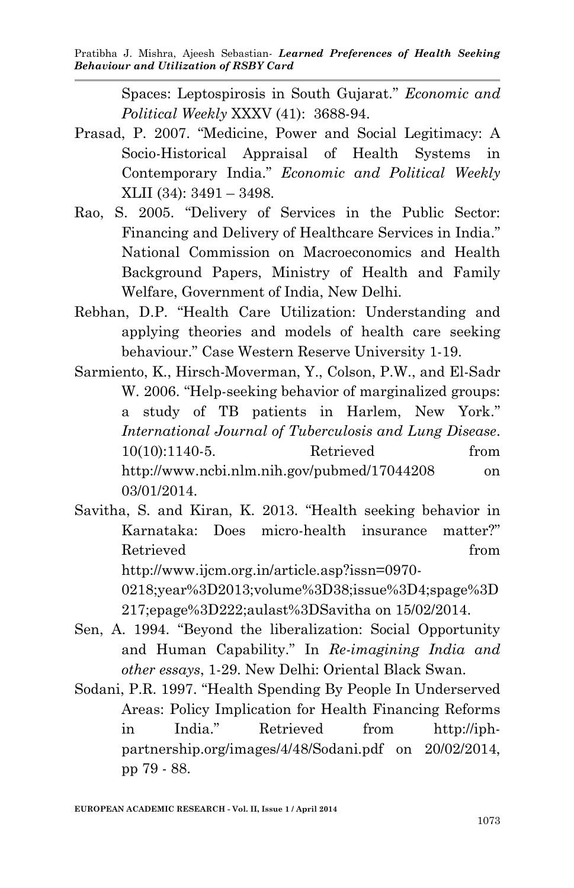Spaces: Leptospirosis in South Gujarat." *Economic and Political Weekly* XXXV (41): 3688-94.

- Prasad, P. 2007. "Medicine, Power and Social Legitimacy: A Socio-Historical Appraisal of Health Systems in Contemporary India." *Economic and Political Weekly* XLII (34): 3491 – 3498.
- Rao, S. 2005. "Delivery of Services in the Public Sector: Financing and Delivery of Healthcare Services in India." National Commission on Macroeconomics and Health Background Papers, Ministry of Health and Family Welfare, Government of India, New Delhi.
- Rebhan, D.P. "Health Care Utilization: Understanding and applying theories and models of health care seeking behaviour." Case Western Reserve University 1-19.
- Sarmiento, K., Hirsch-Moverman, Y., Colson, P.W., and El-Sadr W. 2006. "Help-seeking behavior of marginalized groups: a study of TB patients in Harlem, New York." *International Journal of Tuberculosis and Lung Disease*. 10(10):1140-5. Retrieved from http://www.ncbi.nlm.nih.gov/pubmed/17044208 on 03/01/2014.
- Savitha, S. and Kiran, K. 2013. "Health seeking behavior in Karnataka: Does micro-health insurance matter?" Retrieved from the set of  $\mathbb{R}^n$ http://www.ijcm.org.in/article.asp?issn=0970- 0218;year%3D2013;volume%3D38;issue%3D4;spage%3D 217;epage%3D222;aulast%3DSavitha on 15/02/2014.
- Sen, A. 1994. "Beyond the liberalization: Social Opportunity and Human Capability." In *Re-imagining India and other essays*, 1-29. New Delhi: Oriental Black Swan.
- Sodani, P.R. 1997. "Health Spending By People In Underserved Areas: Policy Implication for Health Financing Reforms in India." Retrieved from http://iphpartnership.org/images/4/48/Sodani.pdf on 20/02/2014, pp 79 - 88.